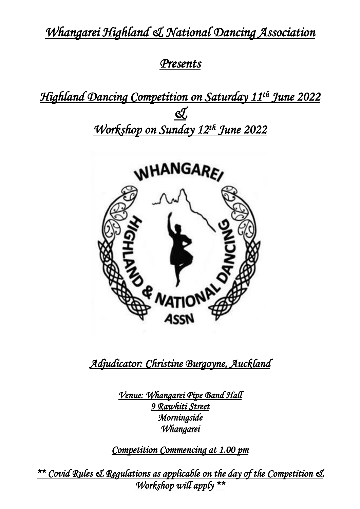*Whangarei Highland & National Dancing Association* 

# *Presents*

*Highland Dancing Competition on Saturday 11th June 2022*  <u>ধ্য</u> *Workshop on Sunday 12th June 2022* 



*Adjudicator: Christine Burgoyne, Auckland* 

*Venue: Whangarei Pipe Band Hall 9 Rawhiti Street Morningside Whangarei* 

*Competition Commencing at 1.00 pm* 

*\*\* Covid Rules & Regulations as applicable on the day of the Competition & Workshop will apply \*\**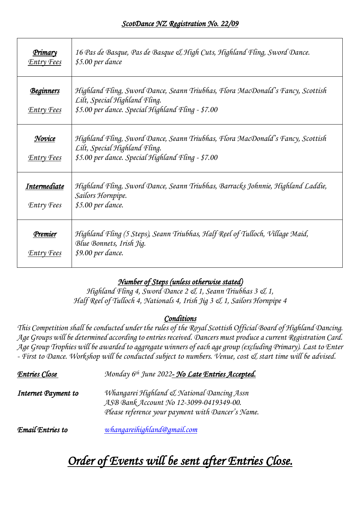| <u>Primary</u><br><b>Entry Fees</b>   | 16 Pas de Basque, Pas de Basque & High Cuts, Highland Fling, Sword Dance.<br>\$5.00 per dance                                                                        |
|---------------------------------------|----------------------------------------------------------------------------------------------------------------------------------------------------------------------|
| <u>Beginners</u><br><b>Entry Fees</b> | Highland Fling, Sword Dance, Seann Triubhas, Flora MacDonald's Fancy, Scottish<br>Lilt, Special Highland Fling.<br>\$5.00 per dance. Special Highland Fling - \$7.00 |
| Novice<br><b>Entry Fees</b>           | Highland Fling, Sword Dance, Seann Triubhas, Flora MacDonald's Fancy, Scottish<br>Lilt, Special Highland Fling.<br>\$5.00 per dance. Special Highland Fling - \$7.00 |
| Intermediate<br><b>Entry Fees</b>     | Highland Fling, Sword Dance, Seann Triubhas, Barracks Johnnie, Highland Laddie,<br>Sailors Hornpipe.<br>\$5.00 per dance.                                            |
| Premier<br>Entry Fees                 | Highland Fling (5 Steps), Seann Triubhas, Half Reel of Tulloch, Village Maid,<br>Blue Bonnets, Irish Jig.<br>\$9.00 per dance.                                       |

### *Number of Steps (unless otherwise stated)*

*Highland Fling 4, Sword Dance 2 & 1, Seann Triubhas 3 & 1, Half Reel of Tulloch 4, Nationals 4, Irish Jig 3 & 1, Sailors Hornpipe 4*

#### *Conditions*

*This Competition shall be conducted under the rules of the Royal Scottish Official Board of Highland Dancing. Age Groups will be determined according to entries received. Dancers must produce a current Registration Card. Age Group Trophies will be awarded to aggregate winners of each age group (excluding Primary). Last to Enter - First to Dance. Workshop will be conducted subject to numbers. Venue, cost & start time will be advised.* 

| <b>Entries Close</b> | Monday 6th June 2022- No Late Entries Accepted.                                                                                            |
|----------------------|--------------------------------------------------------------------------------------------------------------------------------------------|
| Internet Payment to  | Whangarei Highland & National Dancing Assn<br>ASB Bank Account No 12-3099-0419349-00.<br>Please reference your payment with Dancer's Name. |
| Email Entries to     | whangareihighland@gmail.com                                                                                                                |

# *Order of Events will be sent after Entries Close.*